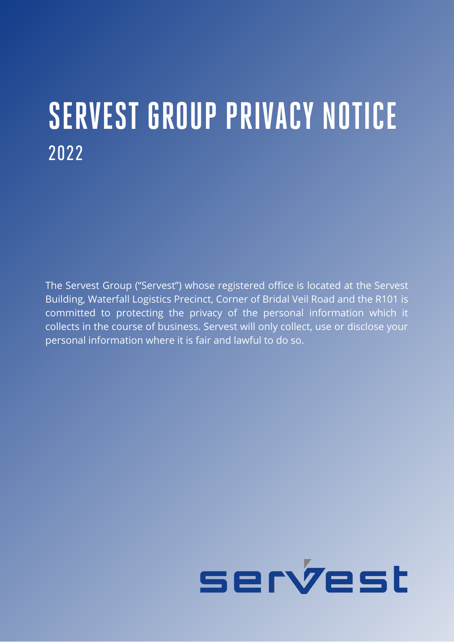# **SERVEST GROUP PRIVACY NOTICE** 2022

The Servest Group ("Servest") whose registered office is located at the Servest Building, Waterfall Logistics Precinct, Corner of Bridal Veil Road and the R101 is committed to protecting the privacy of the personal information which it collects in the course of business. Servest will only collect, use or disclose your personal information where it is fair and lawful to do so.

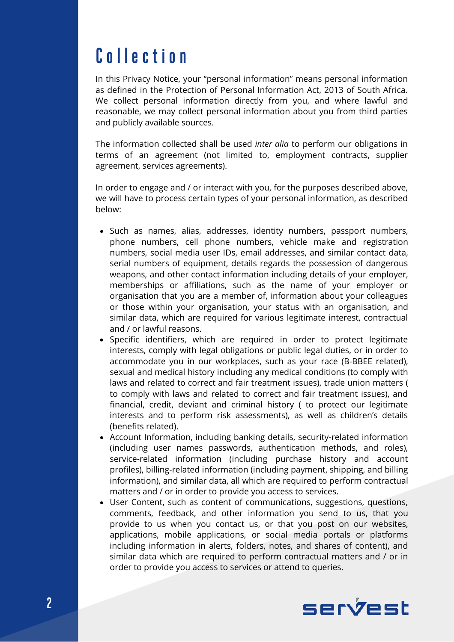# **C o l l e c t i o n**

In this Privacy Notice, your "personal information" means personal information as defined in the Protection of Personal Information Act, 2013 of South Africa. We collect personal information directly from you, and where lawful and reasonable, we may collect personal information about you from third parties and publicly available sources.

The information collected shall be used *inter alia* to perform our obligations in terms of an agreement (not limited to, employment contracts, supplier agreement, services agreements).

In order to engage and / or interact with you, for the purposes described above, we will have to process certain types of your personal information, as described below:

- Such as names, alias, addresses, identity numbers, passport numbers, phone numbers, cell phone numbers, vehicle make and registration numbers, social media user IDs, email addresses, and similar contact data, serial numbers of equipment, details regards the possession of dangerous weapons, and other contact information including details of your employer, memberships or affiliations, such as the name of your employer or organisation that you are a member of, information about your colleagues or those within your organisation, your status with an organisation, and similar data, which are required for various legitimate interest, contractual and / or lawful reasons.
- Specific identifiers, which are required in order to protect legitimate interests, comply with legal obligations or public legal duties, or in order to accommodate you in our workplaces, such as your race (B-BBEE related), sexual and medical history including any medical conditions (to comply with laws and related to correct and fair treatment issues), trade union matters ( to comply with laws and related to correct and fair treatment issues), and financial, credit, deviant and criminal history ( to protect our legitimate interests and to perform risk assessments), as well as children's details (benefits related).
- Account Information, including banking details, security-related information (including user names passwords, authentication methods, and roles), service-related information (including purchase history and account profiles), billing-related information (including payment, shipping, and billing information), and similar data, all which are required to perform contractual matters and / or in order to provide you access to services.
- User Content, such as content of communications, suggestions, questions, comments, feedback, and other information you send to us, that you provide to us when you contact us, or that you post on our websites, applications, mobile applications, or social media portals or platforms including information in alerts, folders, notes, and shares of content), and similar data which are required to perform contractual matters and / or in order to provide you access to services or attend to queries.

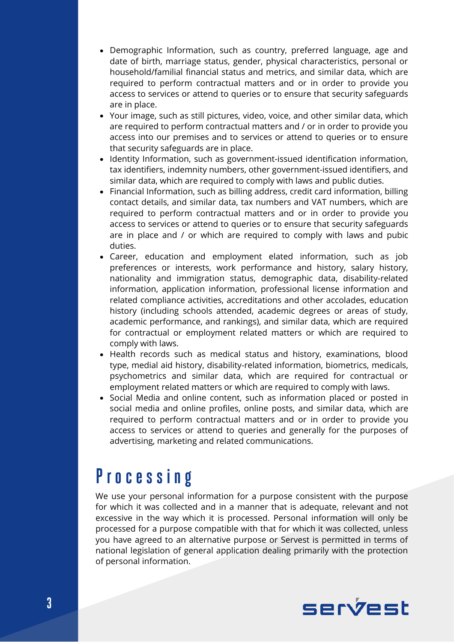- $\bullet$ Demographic Information, such as country, preferred language, age and date of birth, marriage status, gender, physical characteristics, personal or household/familial financial status and metrics, and similar data, which are required to perform contractual matters and or in order to provide you access to services or attend to queries or to ensure that security safeguards are in place.
- Your image, such as still pictures, video, voice, and other similar data, which are required to perform contractual matters and / or in order to provide you access into our premises and to services or attend to queries or to ensure that security safeguards are in place.
- Identity Information, such as government-issued identification information, tax identifiers, indemnity numbers, other government-issued identifiers, and similar data, which are required to comply with laws and public duties.
- Financial Information, such as billing address, credit card information, billing contact details, and similar data, tax numbers and VAT numbers, which are required to perform contractual matters and or in order to provide you access to services or attend to queries or to ensure that security safeguards are in place and / or which are required to comply with laws and pubic duties.
- Career, education and employment elated information, such as job preferences or interests, work performance and history, salary history, nationality and immigration status, demographic data, disability-related information, application information, professional license information and related compliance activities, accreditations and other accolades, education history (including schools attended, academic degrees or areas of study, academic performance, and rankings), and similar data, which are required for contractual or employment related matters or which are required to comply with laws.
- Health records such as medical status and history, examinations, blood type, medial aid history, disability-related information, biometrics, medicals, psychometrics and similar data, which are required for contractual or employment related matters or which are required to comply with laws.
- Social Media and online content, such as information placed or posted in social media and online profiles, online posts, and similar data, which are required to perform contractual matters and or in order to provide you access to services or attend to queries and generally for the purposes of advertising, marketing and related communications.

#### **P r o c e s s i n g**

We use your personal information for a purpose consistent with the purpose for which it was collected and in a manner that is adequate, relevant and not excessive in the way which it is processed. Personal information will only be processed for a purpose compatible with that for which it was collected, unless you have agreed to an alternative purpose or Servest is permitted in terms of national legislation of general application dealing primarily with the protection of personal information.

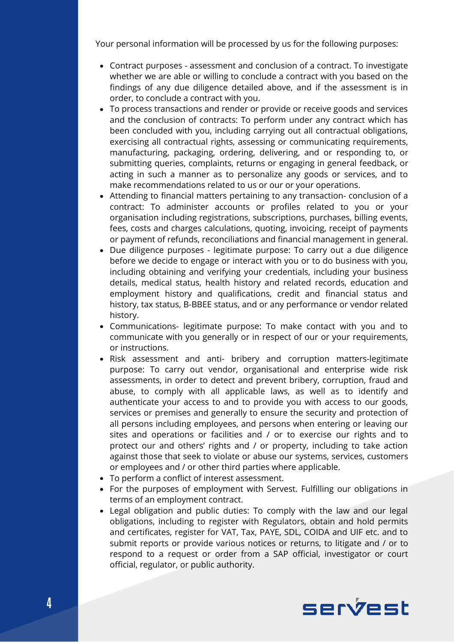Your personal information will be processed by us for the following purposes:

- Contract purposes assessment and conclusion of a contract. To investigate whether we are able or willing to conclude a contract with you based on the findings of any due diligence detailed above, and if the assessment is in order, to conclude a contract with you.
- To process transactions and render or provide or receive goods and services and the conclusion of contracts: To perform under any contract which has been concluded with you, including carrying out all contractual obligations, exercising all contractual rights, assessing or communicating requirements, manufacturing, packaging, ordering, delivering, and or responding to, or submitting queries, complaints, returns or engaging in general feedback, or acting in such a manner as to personalize any goods or services, and to make recommendations related to us or our or your operations.
- Attending to financial matters pertaining to any transaction- conclusion of a contract: To administer accounts or profiles related to you or your organisation including registrations, subscriptions, purchases, billing events, fees, costs and charges calculations, quoting, invoicing, receipt of payments or payment of refunds, reconciliations and financial management in general.
- Due diligence purposes legitimate purpose: To carry out a due diligence before we decide to engage or interact with you or to do business with you, including obtaining and verifying your credentials, including your business details, medical status, health history and related records, education and employment history and qualifications, credit and financial status and history, tax status, B-BBEE status, and or any performance or vendor related history.
- Communications- legitimate purpose: To make contact with you and to communicate with you generally or in respect of our or your requirements, or instructions.
- Risk assessment and anti- bribery and corruption matters-legitimate purpose: To carry out vendor, organisational and enterprise wide risk assessments, in order to detect and prevent bribery, corruption, fraud and abuse, to comply with all applicable laws, as well as to identify and authenticate your access to and to provide you with access to our goods, services or premises and generally to ensure the security and protection of all persons including employees, and persons when entering or leaving our sites and operations or facilities and / or to exercise our rights and to protect our and others' rights and / or property, including to take action against those that seek to violate or abuse our systems, services, customers or employees and / or other third parties where applicable.
- To perform a conflict of interest assessment.
- For the purposes of employment with Servest. Fulfilling our obligations in terms of an employment contract.
- Legal obligation and public duties: To comply with the law and our legal obligations, including to register with Regulators, obtain and hold permits and certificates, register for VAT, Tax, PAYE, SDL, COIDA and UIF etc. and to submit reports or provide various notices or returns, to litigate and / or to respond to a request or order from a SAP official, investigator or court official, regulator, or public authority.

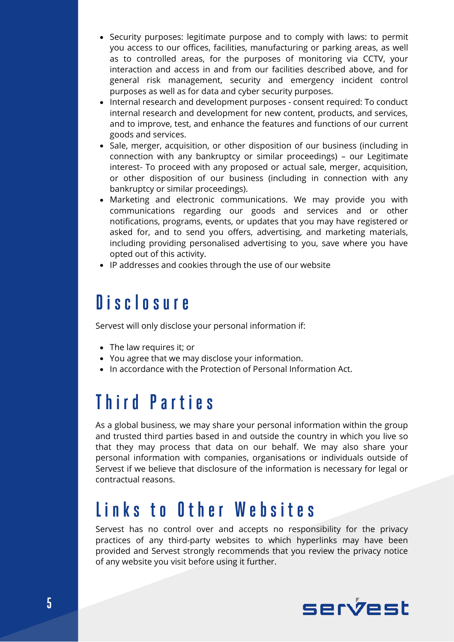- Security purposes: legitimate purpose and to comply with laws: to permit you access to our offices, facilities, manufacturing or parking areas, as well as to controlled areas, for the purposes of monitoring via CCTV, your interaction and access in and from our facilities described above, and for general risk management, security and emergency incident control purposes as well as for data and cyber security purposes.
- Internal research and development purposes consent required: To conduct internal research and development for new content, products, and services, and to improve, test, and enhance the features and functions of our current goods and services.
- Sale, merger, acquisition, or other disposition of our business (including in connection with any bankruptcy or similar proceedings) – our Legitimate interest- To proceed with any proposed or actual sale, merger, acquisition, or other disposition of our business (including in connection with any bankruptcy or similar proceedings).
- Marketing and electronic communications. We may provide you with communications regarding our goods and services and or other notifications, programs, events, or updates that you may have registered or asked for, and to send you offers, advertising, and marketing materials, including providing personalised advertising to you, save where you have opted out of this activity.
- IP addresses and cookies through the use of our website

#### **D i s c l o s u r e**

Servest will only disclose your personal information if:

- The law requires it; or
- You agree that we may disclose your information.
- In accordance with the Protection of Personal Information Act.

### **T h i r d P a r t i e s**

As a global business, we may share your personal information within the group and trusted third parties based in and outside the country in which you live so that they may process that data on our behalf. We may also share your personal information with companies, organisations or individuals outside of Servest if we believe that disclosure of the information is necessary for legal or contractual reasons.

#### **L i n k s t o O t h e r W e b s i t e s**

Servest has no control over and accepts no responsibility for the privacy practices of any third-party websites to which hyperlinks may have been provided and Servest strongly recommends that you review the privacy notice of any website you visit before using it further.

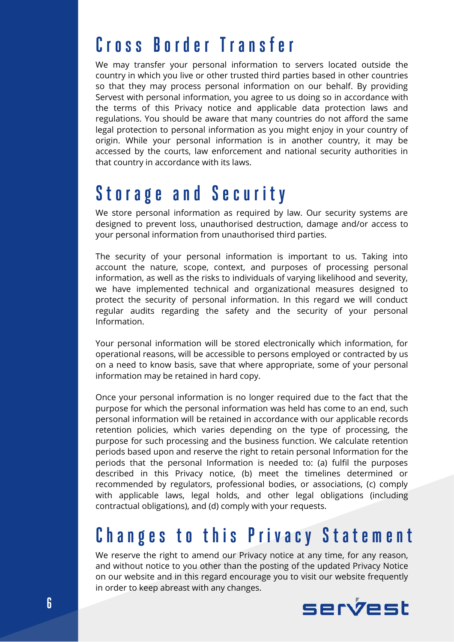#### **C r o s s B o r d e r T r a n s f e r**

We may transfer your personal information to servers located outside the country in which you live or other trusted third parties based in other countries so that they may process personal information on our behalf. By providing Servest with personal information, you agree to us doing so in accordance with the terms of this Privacy notice and applicable data protection laws and regulations. You should be aware that many countries do not afford the same legal protection to personal information as you might enjoy in your country of origin. While your personal information is in another country, it may be accessed by the courts, law enforcement and national security authorities in that country in accordance with its laws.

#### **S t o r a g e a n d S e c u r i t y**

We store personal information as required by law. Our security systems are designed to prevent loss, unauthorised destruction, damage and/or access to your personal information from unauthorised third parties.

The security of your personal information is important to us. Taking into account the nature, scope, context, and purposes of processing personal information, as well as the risks to individuals of varying likelihood and severity, we have implemented technical and organizational measures designed to protect the security of personal information. In this regard we will conduct regular audits regarding the safety and the security of your personal Information.

Your personal information will be stored electronically which information, for operational reasons, will be accessible to persons employed or contracted by us on a need to know basis, save that where appropriate, some of your personal information may be retained in hard copy.

Once your personal information is no longer required due to the fact that the purpose for which the personal information was held has come to an end, such personal information will be retained in accordance with our applicable records retention policies, which varies depending on the type of processing, the purpose for such processing and the business function. We calculate retention periods based upon and reserve the right to retain personal Information for the periods that the personal Information is needed to: (a) fulfil the purposes described in this Privacy notice, (b) meet the timelines determined or recommended by regulators, professional bodies, or associations, (c) comply with applicable laws, legal holds, and other legal obligations (including contractual obligations), and (d) comply with your requests.

# **Changes to this Privacy Statement**

We reserve the right to amend our Privacy notice at any time, for any reason, and without notice to you other than the posting of the updated Privacy Notice on our website and in this regard encourage you to visit our website frequently in order to keep abreast with any changes.